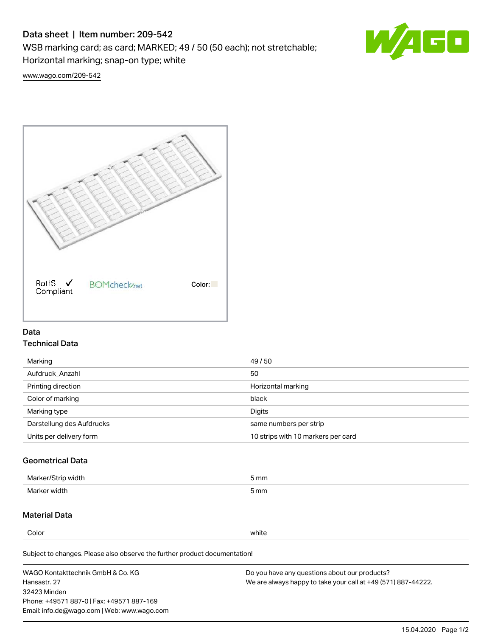# Data sheet | Item number: 209-542

WSB marking card; as card; MARKED; 49 / 50 (50 each); not stretchable;

Horizontal marking; snap-on type; white



[www.wago.com/209-542](http://www.wago.com/209-542)



## Data Technical Data

| 49/50                              |
|------------------------------------|
| 50                                 |
| Horizontal marking                 |
| black                              |
| Digits                             |
| same numbers per strip             |
| 10 strips with 10 markers per card |
|                                    |

# Geometrical Data

| Marker/Strip width | 5 mm |
|--------------------|------|
| Marker width       | 5 mm |

## Material Data

Color white

Subject to changes. Please also observe the further product documentation!

WAGO Kontakttechnik GmbH & Co. KG Hansastr. 27 32423 Minden Phone: +49571 887-0 | Fax: +49571 887-169 Email: info.de@wago.com | Web: www.wago.com Do you have any questions about our products? We are always happy to take your call at +49 (571) 887-44222.